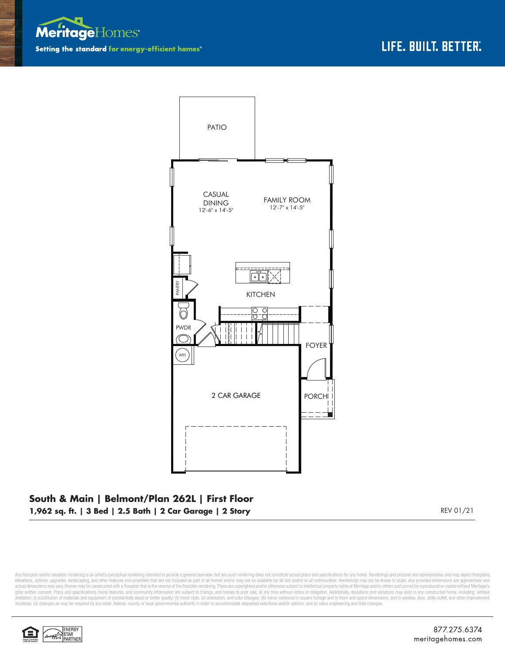



## **South & Main | Belmont/Plan 262L | First Floor 1,962 sq. ft. | 3 Bed | 2.5 Bath | 2 Car Garage | 2 Story** REV 01/21

Any floorplan and/or elevation rendering is an artist's conceptual rendering intended to provide a general overview, but any such rendering does not constitute actual plans and specifications for any home. Renderings and p elevations, options, upgrades, landscaping, and other features and amenities that are not included as part of all homes and/or may not be available for all lots and/or in all communities. Renderings may not be drawn to sca limitation: (i) substitution of materials and equipment of substantially equal or better quality; (ii) minor style, lot orientation, and color changes; (iii) minor variances in square footage and in room and space dimensio locations; (iv) changes as may be required by any state, federal, county, or local governmental authority in order to accommodate requested selections and/or options; and (v) value engineering and field changes.